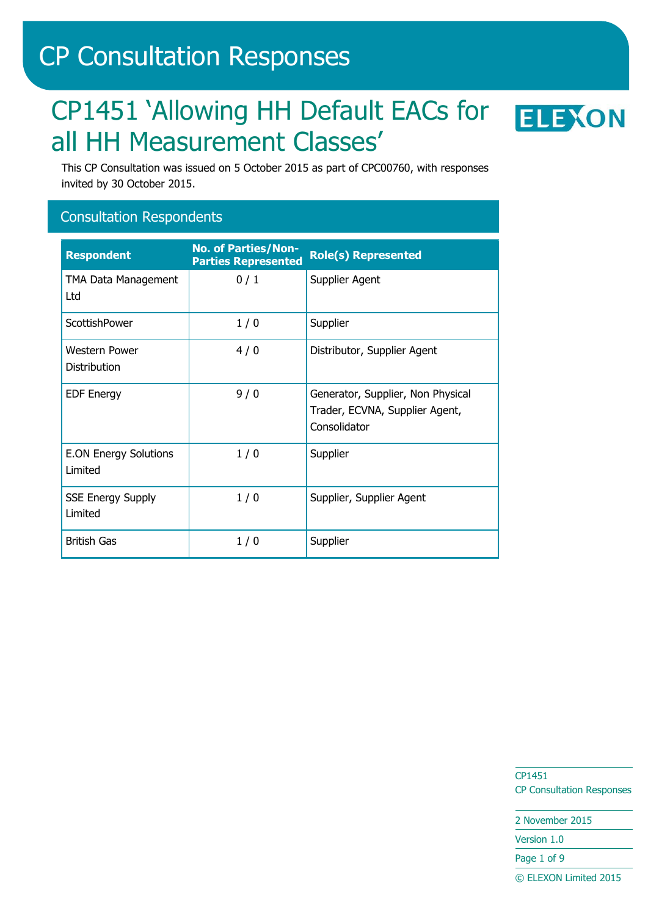# CP Consultation Responses

# CP1451 'Allowing HH Default EACs for ELEXON all HH Measurement Classes'



This CP Consultation was issued on 5 October 2015 as part of CPC00760, with responses invited by 30 October 2015.

#### Consultation Respondents

| <b>Respondent</b>                       | <b>No. of Parties/Non-</b><br><b>Parties Represented</b> | <b>Role(s) Represented</b>                                                          |
|-----------------------------------------|----------------------------------------------------------|-------------------------------------------------------------------------------------|
| <b>TMA Data Management</b><br>Ltd       | 0/1                                                      | Supplier Agent                                                                      |
| ScottishPower                           | 1/0                                                      | Supplier                                                                            |
| <b>Western Power</b><br>Distribution    | 4/0                                                      | Distributor, Supplier Agent                                                         |
| <b>EDF Energy</b>                       | 9/0                                                      | Generator, Supplier, Non Physical<br>Trader, ECVNA, Supplier Agent,<br>Consolidator |
| <b>E.ON Energy Solutions</b><br>Limited | 1/0                                                      | Supplier                                                                            |
| <b>SSE Energy Supply</b><br>Limited     | 1/0                                                      | Supplier, Supplier Agent                                                            |
| <b>British Gas</b>                      | 1/0                                                      | Supplier                                                                            |

CP1451 CP Consultation Responses

2 November 2015 Version 1.0

Page 1 of 9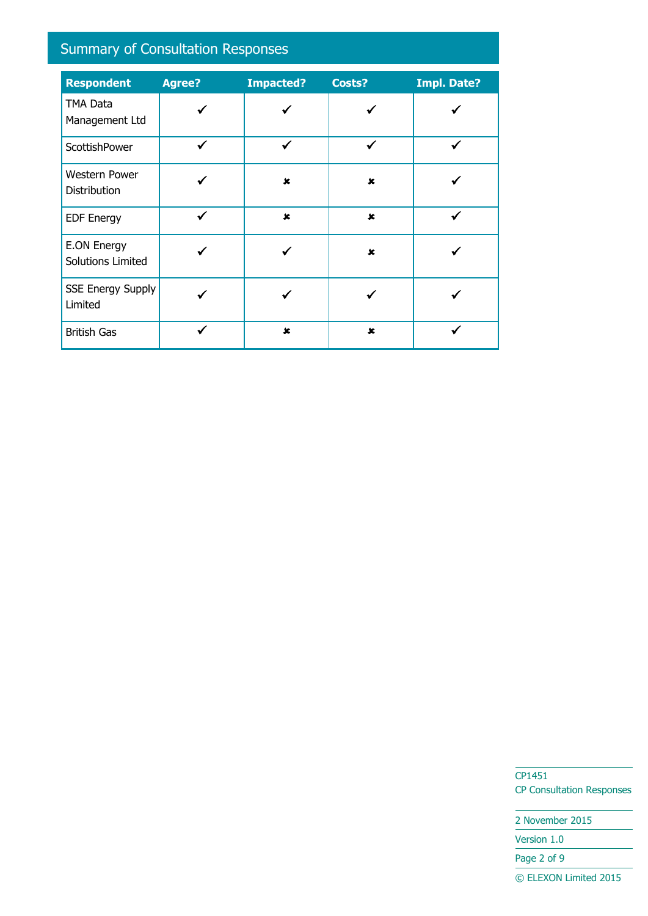# Summary of Consultation Responses

| <b>Respondent</b>                    | Agree?       | <b>Impacted?</b> | Costs?         | <b>Impl. Date?</b> |
|--------------------------------------|--------------|------------------|----------------|--------------------|
| TMA Data<br>Management Ltd           |              |                  |                |                    |
| ScottishPower                        | ✓            |                  |                |                    |
| <b>Western Power</b><br>Distribution |              | $\mathbf x$      | $\mathbf x$    |                    |
| <b>EDF Energy</b>                    | $\checkmark$ | $\mathbf x$      | $\mathbf{x}$   | ✓                  |
| E.ON Energy<br>Solutions Limited     |              |                  | $\pmb{\times}$ |                    |
| <b>SSE Energy Supply</b><br>Limited  |              |                  |                |                    |
| <b>British Gas</b>                   |              | $\pmb{x}$        | $\pmb{\times}$ |                    |

CP1451 CP Consultation Responses

2 November 2015 Version 1.0 Page 2 of 9 © ELEXON Limited 2015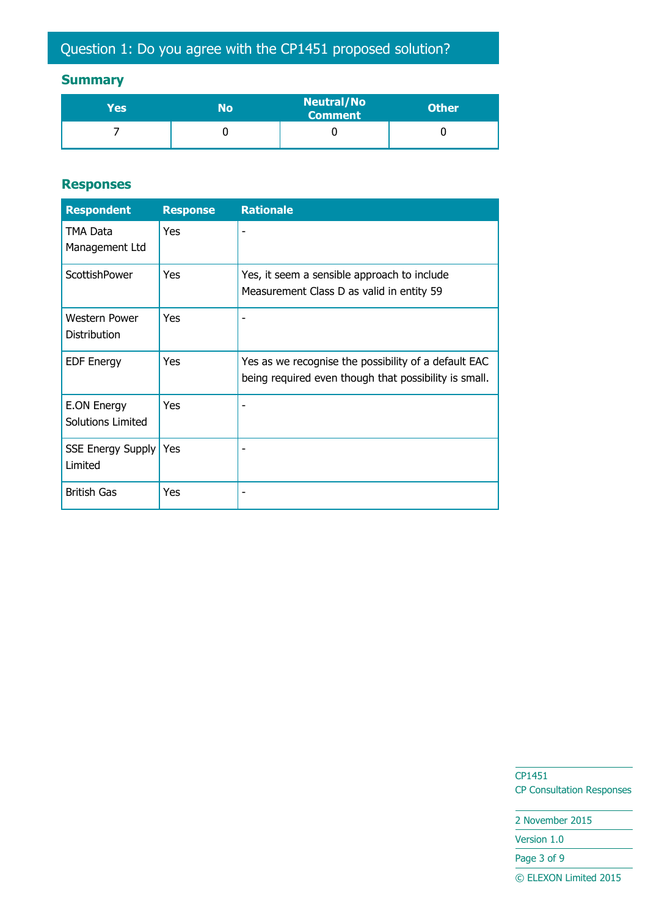## **Summary**

| Yes | No | <b>Neutral/No</b><br><b>Comment</b> | <b>Other</b> |
|-----|----|-------------------------------------|--------------|
|     |    |                                     |              |

#### **Responses**

| <b>Respondent</b>                    | <b>Response</b> | <b>Rationale</b>                                                                                              |
|--------------------------------------|-----------------|---------------------------------------------------------------------------------------------------------------|
| TMA Data<br>Management Ltd           | Yes             |                                                                                                               |
| ScottishPower                        | Yes             | Yes, it seem a sensible approach to include<br>Measurement Class D as valid in entity 59                      |
| <b>Western Power</b><br>Distribution | Yes             |                                                                                                               |
| <b>EDF Energy</b>                    | Yes             | Yes as we recognise the possibility of a default EAC<br>being required even though that possibility is small. |
| E.ON Energy<br>Solutions Limited     | Yes             |                                                                                                               |
| <b>SSE Energy Supply</b><br>Limited  | Yes             |                                                                                                               |
| <b>British Gas</b>                   | Yes             |                                                                                                               |

CP1451 CP Consultation Responses

2 November 2015 Version 1.0 Page 3 of 9 © ELEXON Limited 2015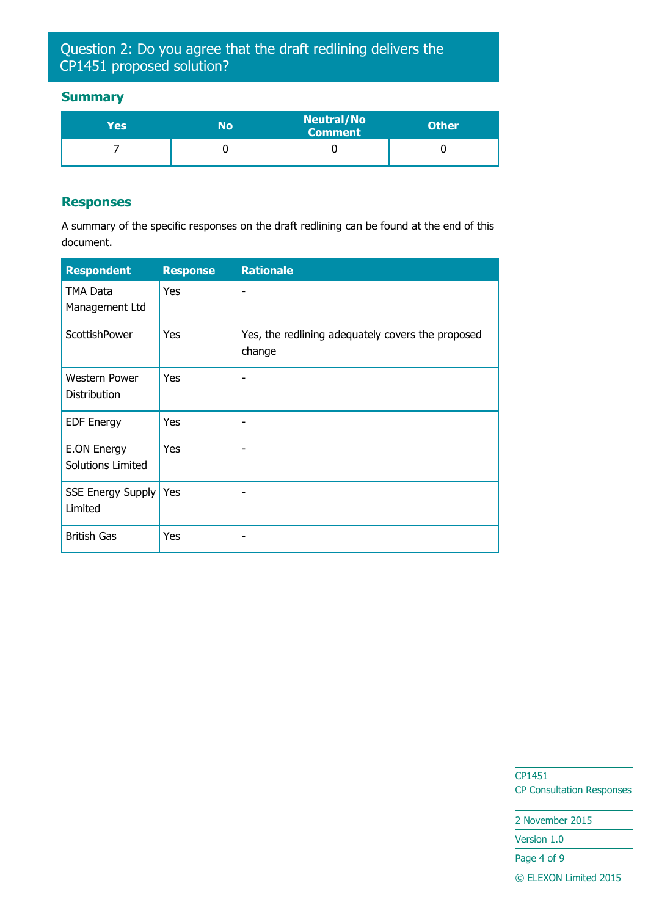## Question 2: Do you agree that the draft redlining delivers the CP1451 proposed solution?

#### **Summary**

| Yes | No | <b>Neutral/No</b><br><b>Comment</b> | <b>Other</b> |
|-----|----|-------------------------------------|--------------|
|     |    |                                     |              |

#### **Responses**

A summary of the specific responses on the draft redlining can be found at the end of this document.

| <b>Respondent</b>                       | <b>Response</b> | <b>Rationale</b>                                            |
|-----------------------------------------|-----------------|-------------------------------------------------------------|
| TMA Data<br>Management Ltd              | Yes             |                                                             |
| ScottishPower                           | Yes             | Yes, the redlining adequately covers the proposed<br>change |
| <b>Western Power</b><br>Distribution    | Yes             |                                                             |
| <b>EDF Energy</b>                       | Yes             |                                                             |
| <b>E.ON Energy</b><br>Solutions Limited | Yes             |                                                             |
| <b>SSE Energy Supply</b><br>Limited     | Yes             |                                                             |
| <b>British Gas</b>                      | Yes             |                                                             |

CP1451 CP Consultation Responses

2 November 2015

Version 1.0

Page 4 of 9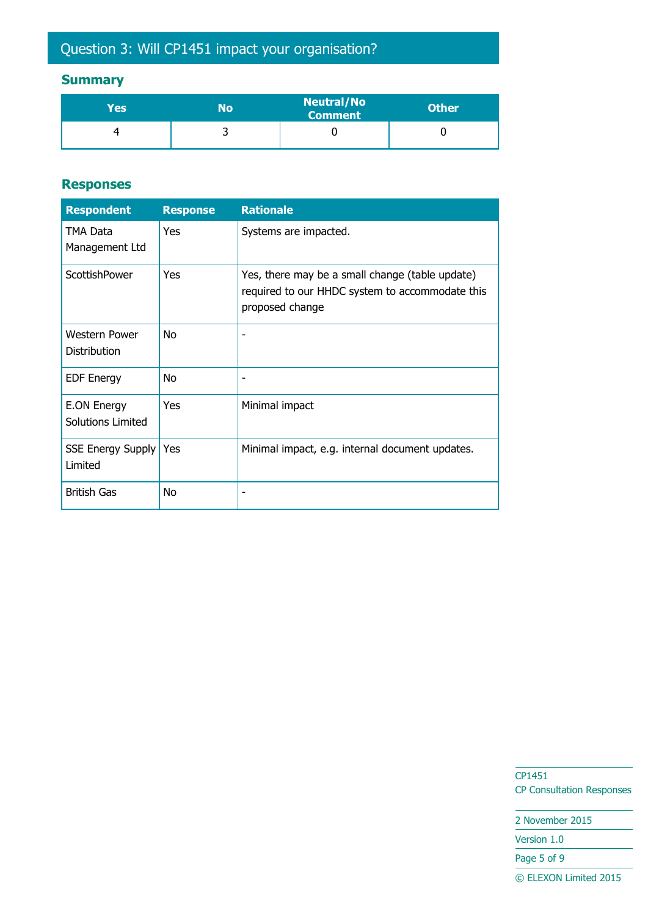# Question 3: Will CP1451 impact your organisation?

#### **Summary**

| Yes | No | <b>Neutral/No</b><br>Comment | <b>Other</b> |
|-----|----|------------------------------|--------------|
|     | ້  |                              |              |

#### **Responses**

| <b>Respondent</b>                       | <b>Response</b> | <b>Rationale</b>                                                                                                      |
|-----------------------------------------|-----------------|-----------------------------------------------------------------------------------------------------------------------|
| TMA Data<br>Management Ltd              | <b>Yes</b>      | Systems are impacted.                                                                                                 |
| ScottishPower                           | Yes             | Yes, there may be a small change (table update)<br>required to our HHDC system to accommodate this<br>proposed change |
| Western Power<br>Distribution           | No              |                                                                                                                       |
| <b>EDF Energy</b>                       | No              |                                                                                                                       |
| <b>E.ON Energy</b><br>Solutions Limited | Yes             | Minimal impact                                                                                                        |
| <b>SSE Energy Supply</b><br>Limited     | Yes             | Minimal impact, e.g. internal document updates.                                                                       |
| <b>British Gas</b>                      | No              |                                                                                                                       |

CP1451 CP Consultation Responses

2 November 2015 Version 1.0 Page 5 of 9 © ELEXON Limited 2015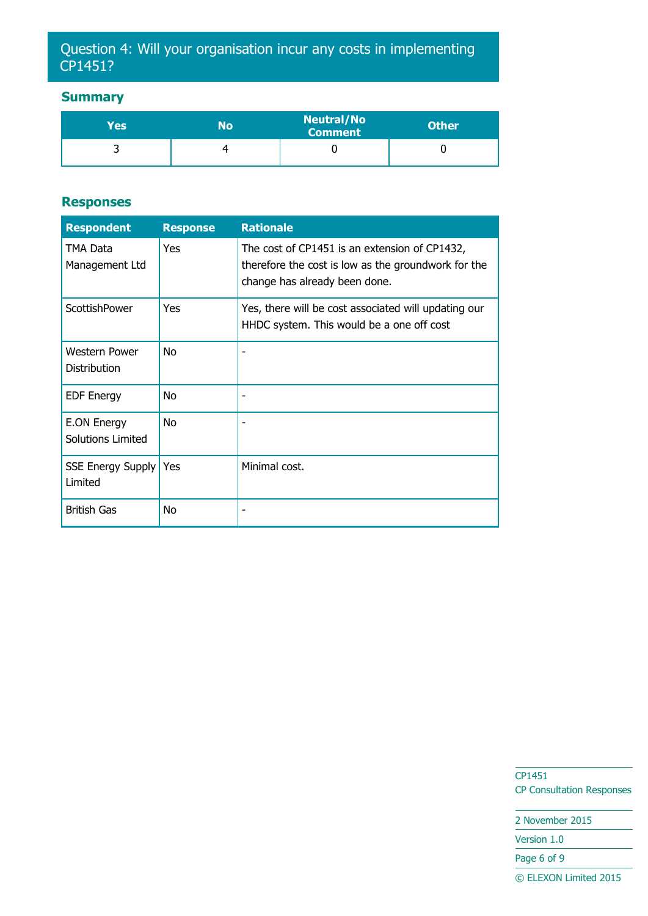### Question 4: Will your organisation incur any costs in implementing CP1451?

#### **Summary**

| Yes' | No | <b>Neutral/No</b><br><b>Comment</b> | <b>Other</b> |
|------|----|-------------------------------------|--------------|
|      |    |                                     |              |

#### **Responses**

| <b>Respondent</b>                    | <b>Response</b> | <b>Rationale</b>                                                                                                                      |
|--------------------------------------|-----------------|---------------------------------------------------------------------------------------------------------------------------------------|
| TMA Data<br>Management Ltd           | Yes             | The cost of CP1451 is an extension of CP1432,<br>therefore the cost is low as the groundwork for the<br>change has already been done. |
| ScottishPower                        | Yes             | Yes, there will be cost associated will updating our<br>HHDC system. This would be a one off cost                                     |
| <b>Western Power</b><br>Distribution | No              |                                                                                                                                       |
| <b>EDF Energy</b>                    | No              |                                                                                                                                       |
| E.ON Energy<br>Solutions Limited     | No.             |                                                                                                                                       |
| <b>SSE Energy Supply</b><br>Limited  | Yes             | Minimal cost.                                                                                                                         |
| <b>British Gas</b>                   | No              |                                                                                                                                       |

CP1451 CP Consultation Responses

2 November 2015 Version 1.0 Page 6 of 9 © ELEXON Limited 2015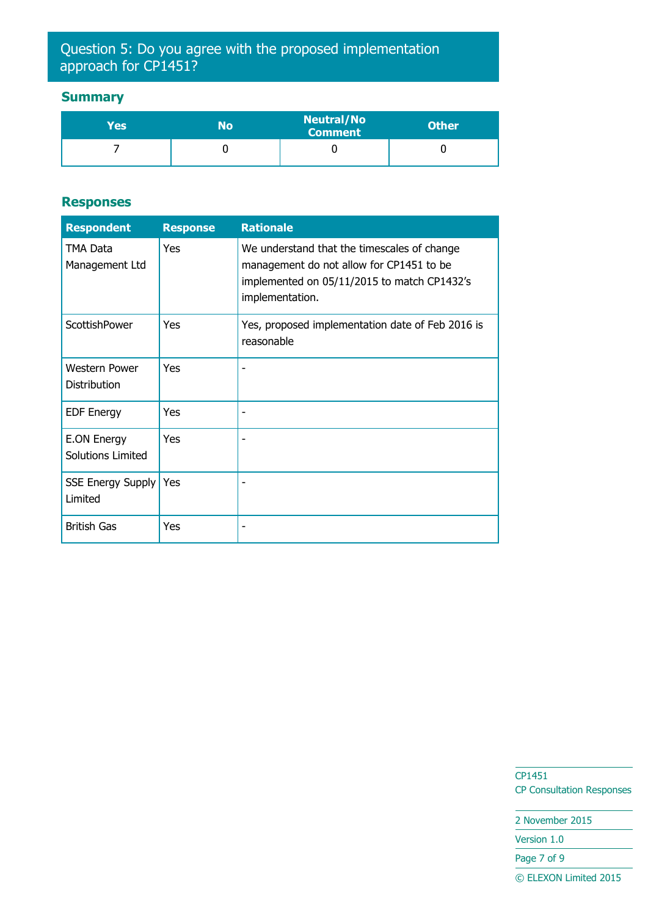### Question 5: Do you agree with the proposed implementation approach for CP1451?

#### **Summary**

| Yes' | No | <b>Neutral/No</b><br><b>Comment</b> | <b>Other</b> |
|------|----|-------------------------------------|--------------|
|      |    |                                     |              |

#### **Responses**

| <b>Respondent</b>                       | <b>Response</b> | <b>Rationale</b>                                                                                                                                          |
|-----------------------------------------|-----------------|-----------------------------------------------------------------------------------------------------------------------------------------------------------|
| TMA Data<br>Management Ltd              | <b>Yes</b>      | We understand that the timescales of change<br>management do not allow for CP1451 to be<br>implemented on 05/11/2015 to match CP1432's<br>implementation. |
| ScottishPower                           | Yes             | Yes, proposed implementation date of Feb 2016 is<br>reasonable                                                                                            |
| <b>Western Power</b><br>Distribution    | <b>Yes</b>      |                                                                                                                                                           |
| <b>EDF Energy</b>                       | Yes             |                                                                                                                                                           |
| <b>E.ON Energy</b><br>Solutions Limited | Yes             |                                                                                                                                                           |
| <b>SSE Energy Supply</b><br>Limited     | <b>Yes</b>      |                                                                                                                                                           |
| <b>British Gas</b>                      | Yes             |                                                                                                                                                           |

CP1451 CP Consultation Responses

2 November 2015 Version 1.0

Page 7 of 9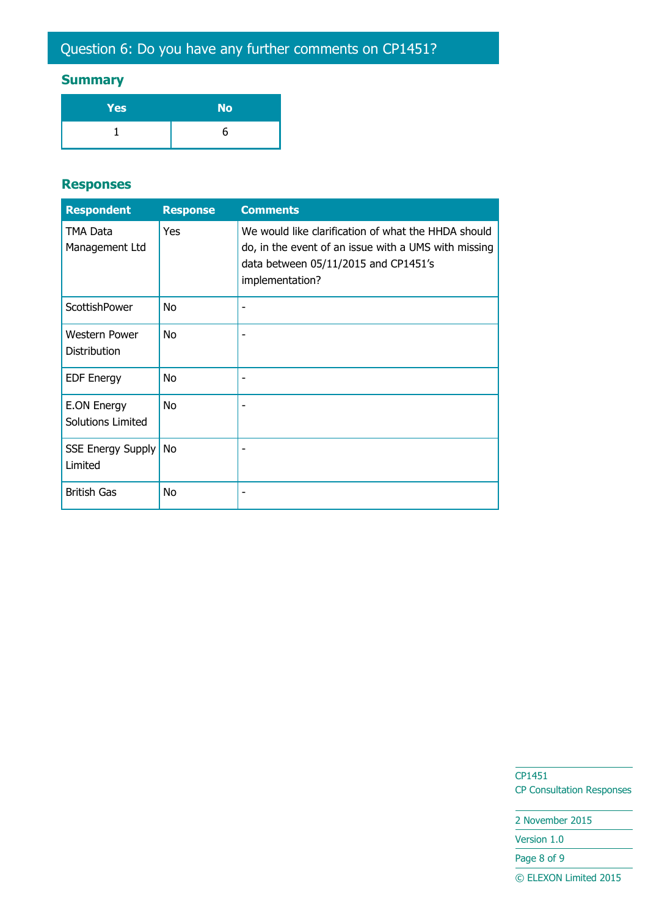## **Summary**

| Yes | <b>No</b> |
|-----|-----------|
|     | h         |

#### **Responses**

| <b>Respondent</b>                       | <b>Response</b> | <b>Comments</b>                                                                                                                                                        |
|-----------------------------------------|-----------------|------------------------------------------------------------------------------------------------------------------------------------------------------------------------|
| TMA Data<br>Management Ltd              | Yes             | We would like clarification of what the HHDA should<br>do, in the event of an issue with a UMS with missing<br>data between 05/11/2015 and CP1451's<br>implementation? |
| ScottishPower                           | <b>No</b>       |                                                                                                                                                                        |
| <b>Western Power</b><br>Distribution    | <b>No</b>       |                                                                                                                                                                        |
| <b>EDF Energy</b>                       | No              |                                                                                                                                                                        |
| <b>E.ON Energy</b><br>Solutions Limited | No              |                                                                                                                                                                        |
| <b>SSE Energy Supply</b><br>Limited     | No              |                                                                                                                                                                        |
| <b>British Gas</b>                      | No              |                                                                                                                                                                        |

CP1451 CP Consultation Responses

2 November 2015 Version 1.0

Page 8 of 9